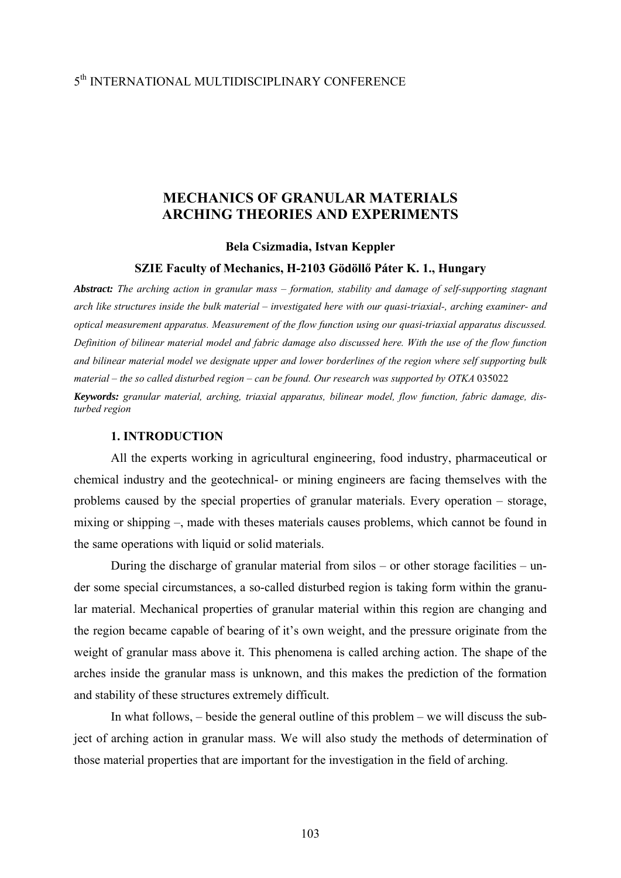# 5th INTERNATIONAL MULTIDISCIPLINARY CONFERENCE

# **MECHANICS OF GRANULAR MATERIALS ARCHING THEORIES AND EXPERIMENTS**

### **Bela Csizmadia, Istvan Keppler**

#### **SZIE Faculty of Mechanics, H-2103 Gödöllő Páter K. 1., Hungary**

*Abstract: The arching action in granular mass – formation, stability and damage of self-supporting stagnant arch like structures inside the bulk material – investigated here with our quasi-triaxial-, arching examiner- and optical measurement apparatus. Measurement of the flow function using our quasi-triaxial apparatus discussed. Definition of bilinear material model and fabric damage also discussed here. With the use of the flow function and bilinear material model we designate upper and lower borderlines of the region where self supporting bulk material – the so called disturbed region – can be found. Our research was supported by OTKA 035022 Keywords: granular material, arching, triaxial apparatus, bilinear model, flow function, fabric damage, disturbed region* 

#### **1. INTRODUCTION**

All the experts working in agricultural engineering, food industry, pharmaceutical or chemical industry and the geotechnical- or mining engineers are facing themselves with the problems caused by the special properties of granular materials. Every operation – storage, mixing or shipping –, made with theses materials causes problems, which cannot be found in the same operations with liquid or solid materials.

 During the discharge of granular material from silos – or other storage facilities – under some special circumstances, a so-called disturbed region is taking form within the granular material. Mechanical properties of granular material within this region are changing and the region became capable of bearing of it's own weight, and the pressure originate from the weight of granular mass above it. This phenomena is called arching action. The shape of the arches inside the granular mass is unknown, and this makes the prediction of the formation and stability of these structures extremely difficult.

 In what follows, – beside the general outline of this problem – we will discuss the subject of arching action in granular mass. We will also study the methods of determination of those material properties that are important for the investigation in the field of arching.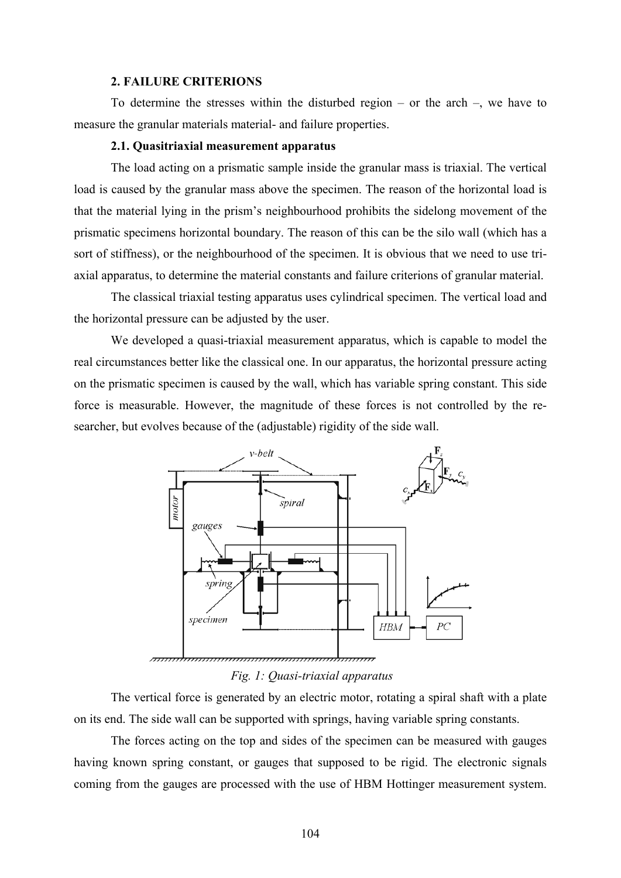#### **2. FAILURE CRITERIONS**

To determine the stresses within the disturbed region – or the arch –, we have to measure the granular materials material- and failure properties.

## **2.1. Quasitriaxial measurement apparatus**

 The load acting on a prismatic sample inside the granular mass is triaxial. The vertical load is caused by the granular mass above the specimen. The reason of the horizontal load is that the material lying in the prism's neighbourhood prohibits the sidelong movement of the prismatic specimens horizontal boundary. The reason of this can be the silo wall (which has a sort of stiffness), or the neighbourhood of the specimen. It is obvious that we need to use triaxial apparatus, to determine the material constants and failure criterions of granular material.

The classical triaxial testing apparatus uses cylindrical specimen. The vertical load and the horizontal pressure can be adjusted by the user.

 We developed a quasi-triaxial measurement apparatus, which is capable to model the real circumstances better like the classical one. In our apparatus, the horizontal pressure acting on the prismatic specimen is caused by the wall, which has variable spring constant. This side force is measurable. However, the magnitude of these forces is not controlled by the researcher, but evolves because of the (adjustable) rigidity of the side wall.



#### *Fig. 1: Quasi-triaxial apparatus*

 The vertical force is generated by an electric motor, rotating a spiral shaft with a plate on its end. The side wall can be supported with springs, having variable spring constants.

 The forces acting on the top and sides of the specimen can be measured with gauges having known spring constant, or gauges that supposed to be rigid. The electronic signals coming from the gauges are processed with the use of HBM Hottinger measurement system.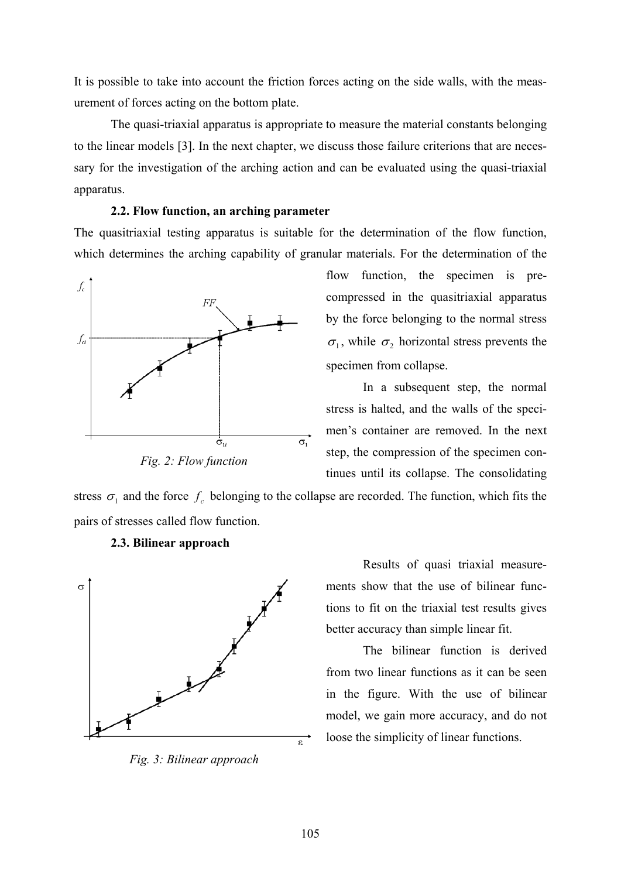It is possible to take into account the friction forces acting on the side walls, with the measurement of forces acting on the bottom plate.

 The quasi-triaxial apparatus is appropriate to measure the material constants belonging to the linear models [3]. In the next chapter, we discuss those failure criterions that are necessary for the investigation of the arching action and can be evaluated using the quasi-triaxial apparatus.

### **2.2. Flow function, an arching parameter**

The quasitriaxial testing apparatus is suitable for the determination of the flow function, which determines the arching capability of granular materials. For the determination of the



*Fig. 2: Flow function* 

flow function, the specimen is precompressed in the quasitriaxial apparatus by the force belonging to the normal stress  $\sigma_1$ , while  $\sigma_2$  horizontal stress prevents the specimen from collapse.

 In a subsequent step, the normal stress is halted, and the walls of the specimen's container are removed. In the next step, the compression of the specimen continues until its collapse. The consolidating

stress  $\sigma_1$  and the force  $f_c$  belonging to the collapse are recorded. The function, which fits the pairs of stresses called flow function.



 **2.3. Bilinear approach** 

*Fig. 3: Bilinear approach* 

Results of quasi triaxial measurements show that the use of bilinear functions to fit on the triaxial test results gives better accuracy than simple linear fit.

The bilinear function is derived from two linear functions as it can be seen in the figure. With the use of bilinear model, we gain more accuracy, and do not loose the simplicity of linear functions.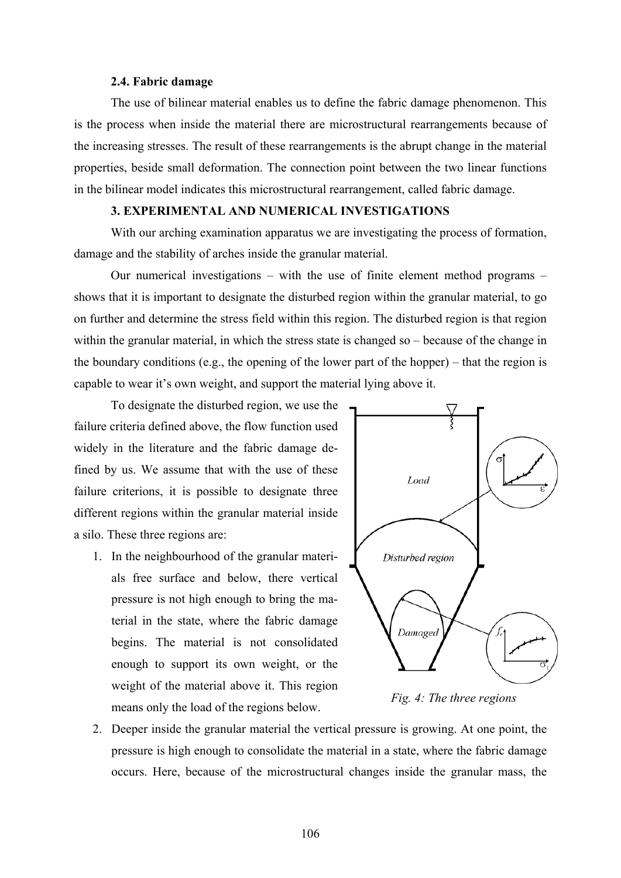#### **2.4. Fabric damage**

The use of bilinear material enables us to define the fabric damage phenomenon. This is the process when inside the material there are microstructural rearrangements because of the increasing stresses. The result of these rearrangements is the abrupt change in the material properties, beside small deformation. The connection point between the two linear functions in the bilinear model indicates this microstructural rearrangement, called fabric damage.

## **3. EXPERIMENTAL AND NUMERICAL INVESTIGATIONS**

With our arching examination apparatus we are investigating the process of formation, damage and the stability of arches inside the granular material.

Our numerical investigations – with the use of finite element method programs – shows that it is important to designate the disturbed region within the granular material, to go on further and determine the stress field within this region. The disturbed region is that region within the granular material, in which the stress state is changed so – because of the change in the boundary conditions (e.g., the opening of the lower part of the hopper) – that the region is capable to wear it's own weight, and support the material lying above it.

 To designate the disturbed region, we use the failure criteria defined above, the flow function used widely in the literature and the fabric damage defined by us. We assume that with the use of these failure criterions, it is possible to designate three different regions within the granular material inside a silo. These three regions are:

1. In the neighbourhood of the granular materials free surface and below, there vertical pressure is not high enough to bring the material in the state, where the fabric damage begins. The material is not consolidated enough to support its own weight, or the weight of the material above it. This region means only the load of the regions below.



*Fig. 4: The three regions* 

2. Deeper inside the granular material the vertical pressure is growing. At one point, the pressure is high enough to consolidate the material in a state, where the fabric damage occurs. Here, because of the microstructural changes inside the granular mass, the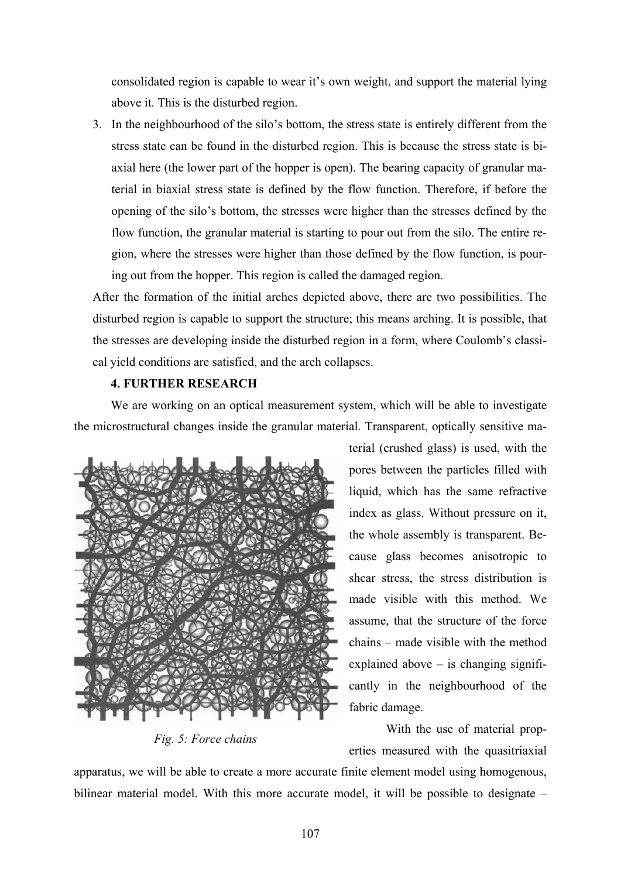consolidated region is capable to wear it's own weight, and support the material lying above it. This is the disturbed region.

3. In the neighbourhood of the silo's bottom, the stress state is entirely different from the stress state can be found in the disturbed region. This is because the stress state is biaxial here (the lower part of the hopper is open). The bearing capacity of granular material in biaxial stress state is defined by the flow function. Therefore, if before the opening of the silo's bottom, the stresses were higher than the stresses defined by the flow function, the granular material is starting to pour out from the silo. The entire region, where the stresses were higher than those defined by the flow function, is pouring out from the hopper. This region is called the damaged region.

After the formation of the initial arches depicted above, there are two possibilities. The disturbed region is capable to support the structure; this means arching. It is possible, that the stresses are developing inside the disturbed region in a form, where Coulomb's classical yield conditions are satisfied, and the arch collapses.

## **4. FURTHER RESEARCH**

We are working on an optical measurement system, which will be able to investigate the microstructural changes inside the granular material. Transparent, optically sensitive ma-



*Fig. 5: Force chains* 

terial (crushed glass) is used, with the pores between the particles filled with liquid, which has the same refractive index as glass. Without pressure on it, the whole assembly is transparent. Because glass becomes anisotropic to shear stress, the stress distribution is made visible with this method. We assume, that the structure of the force chains – made visible with the method explained above  $-$  is changing significantly in the neighbourhood of the fabric damage.

With the use of material properties measured with the quasitriaxial

apparatus, we will be able to create a more accurate finite element model using homogenous, bilinear material model. With this more accurate model, it will be possible to designate –